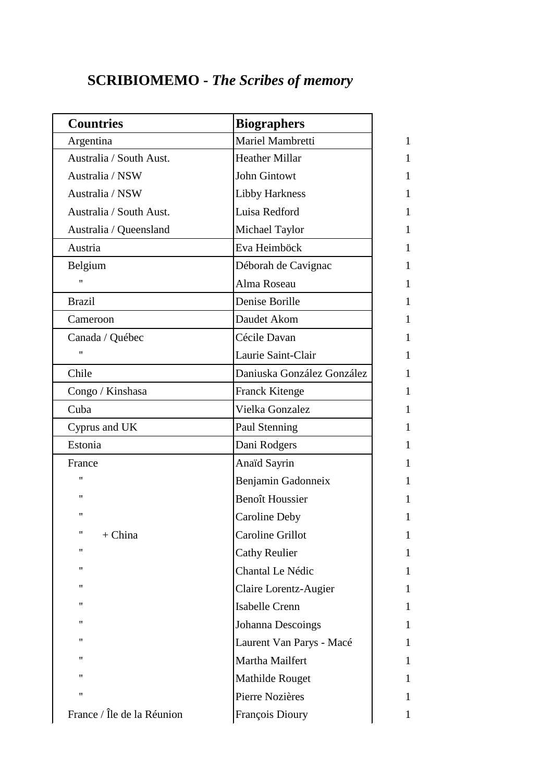## **SCRIBIOMEMO -** *The Scribes of memory*

| <b>Countries</b>           | <b>Biographers</b>         |
|----------------------------|----------------------------|
| Argentina                  | Mariel Mambretti           |
| Australia / South Aust.    | <b>Heather Millar</b>      |
| Australia / NSW            | <b>John Gintowt</b>        |
| Australia / NSW            | <b>Libby Harkness</b>      |
| Australia / South Aust.    | Luisa Redford              |
| Australia / Queensland     | Michael Taylor             |
| Austria                    | Eva Heimböck               |
| Belgium                    | Déborah de Cavignac        |
| 11                         | Alma Roseau                |
| <b>Brazil</b>              | Denise Borille             |
| Cameroon                   | Daudet Akom                |
| Canada / Québec            | Cécile Davan               |
| 11                         | Laurie Saint-Clair         |
| Chile                      | Daniuska González González |
| Congo / Kinshasa           | <b>Franck Kitenge</b>      |
| Cuba                       | Vielka Gonzalez            |
| Cyprus and UK              | Paul Stenning              |
| Estonia                    | Dani Rodgers               |
| France                     | Anaïd Sayrin               |
| 11                         | Benjamin Gadonneix         |
| "                          | <b>Benoît Houssier</b>     |
| "                          | <b>Caroline Deby</b>       |
| 11<br>$+ China$            | <b>Caroline Grillot</b>    |
| "                          | <b>Cathy Reulier</b>       |
| 11                         | Chantal Le Nédic           |
| 11                         | Claire Lorentz-Augier      |
| "                          | <b>Isabelle Crenn</b>      |
| 11                         | <b>Johanna Descoings</b>   |
| "                          | Laurent Van Parys - Macé   |
| "                          | Martha Mailfert            |
| "                          | Mathilde Rouget            |
| 11                         | Pierre Nozières            |
| France / Île de la Réunion | François Dioury            |
|                            |                            |